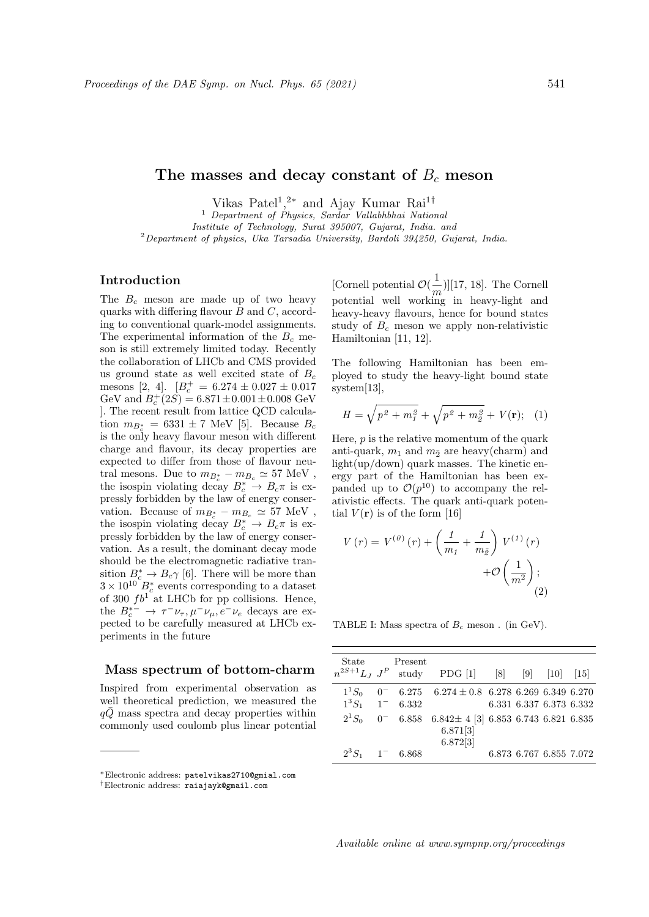# The masses and decay constant of  $B<sub>c</sub>$  meson

Vikas Patel<sup>1</sup>,<sup>2\*</sup> and Ajay Kumar Rai<sup>1†</sup>

<sup>1</sup> Department of Physics, Sardar Vallabhbhai National

Institute of Technology, Surat 395007, Gujarat, India. and

 $2$ Department of physics, Uka Tarsadia University, Bardoli 394250, Gujarat, India.

## Introduction

The  $B_c$  meson are made up of two heavy quarks with differing flavour  $B$  and  $C$ , according to conventional quark-model assignments. The experimental information of the  $B_c$  meson is still extremely limited today. Recently the collaboration of LHCb and CMS provided us ground state as well excited state of  $B_c$ mesons [2, 4].  $[B_c^+ = 6.274 \pm 0.027 \pm 0.017$ GeV and  $B_c^+(2S) = 6.871 \pm 0.001 \pm 0.008$  GeV ]. The recent result from lattice QCD calculation  $m_{B_c^*} = 6331 \pm 7$  MeV [5]. Because  $B_c$ is the only heavy flavour meson with different charge and flavour, its decay properties are expected to differ from those of flavour neutral mesons. Due to  $m_{B_c^*} - m_{B_c} \simeq 57$  MeV, the isospin violating decay  $B_c^* \to B_c \pi$  is expressly forbidden by the law of energy conservation. Because of  $m_{B_c^*} - m_{B_c} \simeq 57$  MeV, the isospin violating decay  $B_c^* \to B_c \pi$  is expressly forbidden by the law of energy conservation. As a result, the dominant decay mode should be the electromagnetic radiative transition  $B_c^* \to B_c \gamma$  [6]. There will be more than  $3 \times 10^{10}$   $B_c^*$  events corresponding to a dataset of 300  $fb<sup>1</sup>$  at LHCb for pp collisions. Hence, the  $B_c^{*-} \to \tau^- \nu_\tau, \mu^- \nu_\mu, e^- \nu_e$  decays are expected to be carefully measured at LHCb experiments in the future

#### Mass spectrum of bottom-charm

Inspired from experimental observation as well theoretical prediction, we measured the  $q\bar{Q}$  mass spectra and decay properties within commonly used coulomb plus linear potential

[Cornell potential  $\mathcal{O}(\frac{1}{\epsilon})$  $\frac{1}{m}$ ][17, 18]. The Cornell potential well working in heavy-light and heavy-heavy flavours, hence for bound states study of  $B_c$  meson we apply non-relativistic Hamiltonian [11, 12].

The following Hamiltonian has been employed to study the heavy-light bound state system[13],

$$
H = \sqrt{p^2 + m_I^2} + \sqrt{p^2 + m_{\tilde{Z}}^2} + V(\mathbf{r}); \quad (1)
$$

Here,  $p$  is the relative momentum of the quark anti-quark,  $m_1$  and  $m_2$  are heavy(charm) and light(up/down) quark masses. The kinetic energy part of the Hamiltonian has been expanded up to  $\mathcal{O}(p^{10})$  to accompany the relativistic effects. The quark anti-quark potential  $V(\mathbf{r})$  is of the form [16]

$$
V(r) = V^{(0)}(r) + \left(\frac{1}{m_1} + \frac{1}{m_{\bar{g}}}\right) V^{(1)}(r) + \mathcal{O}\left(\frac{1}{m^2}\right);
$$
\n(2)

TABLE I: Mass spectra of  $B_c$  meson. (in GeV).

|                               | State Present | $n^{2S+1}L_J$ $J^P$ study PDG [1] [8] [9] [10] [15]               |  |                         |  |
|-------------------------------|---------------|-------------------------------------------------------------------|--|-------------------------|--|
| $1^3S_1$ 1 <sup>-</sup> 6.332 |               | $1^1S_0$ 0 <sup>-</sup> 6.275 6.274 ± 0.8 6.278 6.269 6.349 6.270 |  | 6.331 6.337 6.373 6.332 |  |
| $2^1S_0$                      |               | $0^-$ 6.858 6.842 ± 4 [3] 6.853 6.743 6.821 6.835                 |  |                         |  |
|                               |               | 6.871[3]<br>6.872[3]                                              |  |                         |  |
| $2^3S_1$ 1 <sup>-</sup> 6.868 |               |                                                                   |  | 6.873 6.767 6.855 7.072 |  |

Available online at www.sympnp.org/proceedings

<sup>∗</sup>Electronic address: patelvikas2710@gmial.com

<sup>†</sup>Electronic address: raiajayk@gmail.com